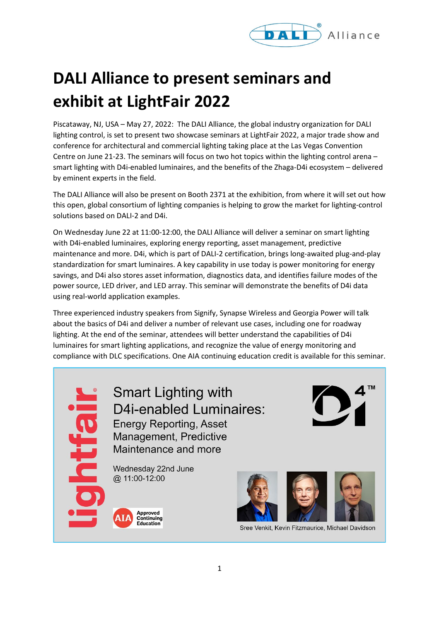

## **DALI Alliance to present seminars and exhibit at LightFair 2022**

Piscataway, NJ, USA – May 27, 2022: The DALI Alliance, the global industry organization for DALI lighting control, is set to present two showcase seminars at LightFair 2022, a major trade show and conference for architectural and commercial lighting taking place at the Las Vegas Convention Centre on June 21-23. The seminars will focus on two hot topics within the lighting control arena – smart lighting with D4i-enabled luminaires, and the benefits of the Zhaga-D4i ecosystem – delivered by eminent experts in the field.

The DALI Alliance will also be present on Booth 2371 at the exhibition, from where it will set out how this open, global consortium of lighting companies is helping to grow the market for lighting-control solutions based on DALI-2 and D4i.

On Wednesday June 22 at 11:00-12:00, the DALI Alliance will deliver a seminar on smart lighting with D4i-enabled luminaires, exploring energy reporting, asset management, predictive maintenance and more. D4i, which is part of DALI-2 certification, brings long-awaited plug-and-play standardization for smart luminaires. A key capability in use today is power monitoring for energy savings, and D4i also stores asset information, diagnostics data, and identifies failure modes of the power source, LED driver, and LED array. This seminar will demonstrate the benefits of D4i data using real-world application examples.

Three experienced industry speakers from Signify, Synapse Wireless and Georgia Power will talk about the basics of D4i and deliver a number of relevant use cases, including one for roadway lighting. At the end of the seminar, attendees will better understand the capabilities of D4i luminaires for smart lighting applications, and recognize the value of energy monitoring and compliance with DLC specifications. One AIA continuing education credit is available for this seminar.

**Smart Lighting with D4i-enabled Luminaires: Energy Reporting, Asset** Management, Predictive Maintenance and more Wednesday 22nd June @ 11:00-12:00 Approved<br>Continuing Education Sree Venkit, Kevin Fitzmaurice, Michael Davidson